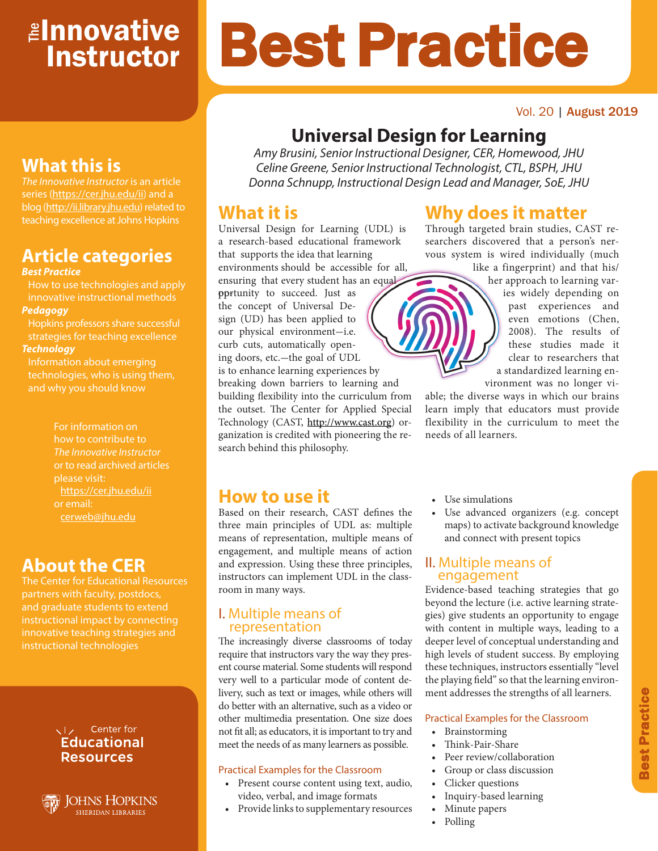## <mark>≇Innovative</mark> **Instructor**

# Best Practice

#### Vol. 20 | August 2019

## **Universal Design for Learning**

*Amy Brusini, Senior Instructional Designer, CER, Homewood, JHU Celine Greene, Senior Instructional Technologist, CTL, BSPH, JHU Donna Schnupp, Instructional Design Lead and Manager, SoE, JHU*

## **What it is**

Universal Design for Learning (UDL) is a research-based educational framework that supports the idea that learning environments should be accessible for all, ensuring that every student has an equal

pprtunity to succeed. Just as the concept of Universal Design (UD) has been applied to our physical environment-i.e. curb cuts, automatically opening doors, etc.-the goal of UDL is to enhance learning experiences by breaking down barriers to learning and building flexibility into the curriculum from the outset. The Center for Applied Special Technology (CAST, <http://www.cast.org>) organization is credited with pioneering the research behind this philosophy.

## **Why does it matter**

Through targeted brain studies, CAST researchers discovered that a person's nervous system is wired individually (much like a fingerprint) and that his/

her approach to learning varies widely depending on past experiences and even emotions (Chen, 2008). The results of these studies made it clear to researchers that a standardized learning environment was no longer vi-

able; the diverse ways in which our brains learn imply that educators must provide flexibility in the curriculum to meet the needs of all learners.

## **What this is**

*The Innovative Instructor* is an article series (https://cer.jhu.edu/ii) and a blog (http://ii.library.jhu.edu) related to teaching excellence at Johns Hopkins

## **Article categories**

#### *Best Practice*

How to use technologies and apply innovative instructional methods *Pedagogy*

Hopkins professors share successful strategies for teaching excellence *Technology*

Information about emerging technologies, who is using them, and why you should know

> For information on how to contribute to *The Innovative Instructor* or to read archived articles please visit: https://cer.jhu.edu/ii or email: cerweb@jhu.edu

## **About the CER**

The Center for Educational Resources and graduate students to extend innovative teaching strategies and instructional technologies

#### VI<sub>z</sub> Center for **Educational Resources**



### **How to use it**

Based on their research, CAST defines the three main principles of UDL as: multiple means of representation, multiple means of engagement, and multiple means of action and expression. Using these three principles, instructors can implement UDL in the classroom in many ways.

#### I. Multiple means of representation

The increasingly diverse classrooms of today require that instructors vary the way they present course material. Some students will respond very well to a particular mode of content delivery, such as text or images, while others will do better with an alternative, such as a video or other multimedia presentation. One size does not fit all; as educators, it is important to try and meet the needs of as many learners as possible.

#### Practical Examples for the Classroom

- Present course content using text, audio, video, verbal, and image formats
- Provide links to supplementary resources
- Use simulations
- Use advanced organizers (e.g. concept maps) to activate background knowledge and connect with present topics

#### II. Multiple means of engagement

Evidence-based teaching strategies that go beyond the lecture (i.e. active learning strategies) give students an opportunity to engage with content in multiple ways, leading to a deeper level of conceptual understanding and high levels of student success. By employing these techniques, instructors essentially "level the playing field" so that the learning environment addresses the strengths of all learners.

#### Practical Examples for the Classroom

- Brainstorming
- Think-Pair-Share
- Peer review/collaboration
- Group or class discussion
- Clicker questions
- Inquiry-based learning
- Minute papers
- Polling